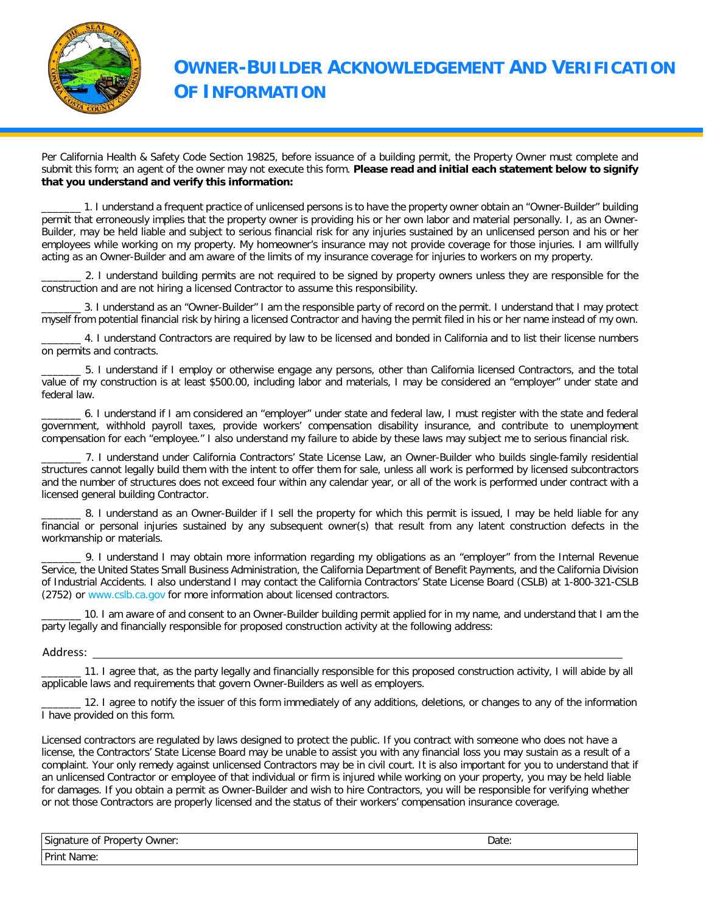

## **OWNER-BUILDER ACKNOWLEDGEMENT AND VERIFICATION OF INFORMATION**

Per California Health & Safety Code Section 19825, before issuance of a building permit, the Property Owner must complete and submit this form; an agent of the owner may not execute this form. **Please read and initial each statement below to signify that you understand and verify this information:**

\_\_\_\_\_\_\_ 1. I understand a frequent practice of unlicensed persons is to have the property owner obtain an "Owner-Builder" building permit that erroneously implies that the property owner is providing his or her own labor and material personally. I, as an Owner-Builder, may be held liable and subject to serious financial risk for any injuries sustained by an unlicensed person and his or her employees while working on my property. My homeowner's insurance may not provide coverage for those injuries. I am willfully acting as an Owner-Builder and am aware of the limits of my insurance coverage for injuries to workers on my property.

\_\_\_\_\_\_\_ 2. I understand building permits are not required to be signed by property owners unless they are responsible for the construction and are not hiring a licensed Contractor to assume this responsibility.

\_\_\_\_\_\_\_ 3. I understand as an "Owner-Builder" I am the responsible party of record on the permit. I understand that I may protect myself from potential financial risk by hiring a licensed Contractor and having the permit filed in his or her name instead of my own.

\_\_\_\_\_\_\_ 4. I understand Contractors are required by law to be licensed and bonded in California and to list their license numbers on permits and contracts.

\_\_\_\_\_\_\_ 5. I understand if I employ or otherwise engage any persons, other than California licensed Contractors, and the total value of my construction is at least \$500.00, including labor and materials, I may be considered an "employer" under state and federal law.

\_\_\_\_\_\_\_ 6. I understand if I am considered an "employer" under state and federal law, I must register with the state and federal government, withhold payroll taxes, provide workers' compensation disability insurance, and contribute to unemployment compensation for each "employee." I also understand my failure to abide by these laws may subject me to serious financial risk.

\_\_\_\_\_\_\_ 7. I understand under California Contractors' State License Law, an Owner-Builder who builds single-family residential structures cannot legally build them with the intent to offer them for sale, unless all work is performed by licensed subcontractors and the number of structures does not exceed four within any calendar year, or all of the work is performed under contract with a licensed general building Contractor.

8. I understand as an Owner-Builder if I sell the property for which this permit is issued, I may be held liable for any financial or personal injuries sustained by any subsequent owner(s) that result from any latent construction defects in the workmanship or materials.

9. I understand I may obtain more information regarding my obligations as an "employer" from the Internal Revenue Service, the United States Small Business Administration, the California Department of Benefit Payments, and the California Division of Industrial Accidents. I also understand I may contact the California Contractors' State License Board (CSLB) at 1-800-321-CSLB (2752) or www.cslb.ca.gov for more information about licensed contractors.

10. I am aware of and consent to an Owner-Builder building permit applied for in my name, and understand that I am the party legally and financially responsible for proposed construction activity at the following address:

Address:

11. I agree that, as the party legally and financially responsible for this proposed construction activity, I will abide by all applicable laws and requirements that govern Owner-Builders as well as employers.

12. I agree to notify the issuer of this form immediately of any additions, deletions, or changes to any of the information I have provided on this form.

Licensed contractors are regulated by laws designed to protect the public. If you contract with someone who does not have a license, the Contractors' State License Board may be unable to assist you with any financial loss you may sustain as a result of a complaint. Your only remedy against unlicensed Contractors may be in civil court. It is also important for you to understand that if an unlicensed Contractor or employee of that individual or firm is injured while working on your property, you may be held liable for damages. If you obtain a permit as Owner-Builder and wish to hire Contractors, you will be responsible for verifying whether or not those Contractors are properly licensed and the status of their workers' compensation insurance coverage.

| Signature of<br>Owner:<br>Property (<br>- | Date:<br>. |
|-------------------------------------------|------------|
| Print Name:                               |            |